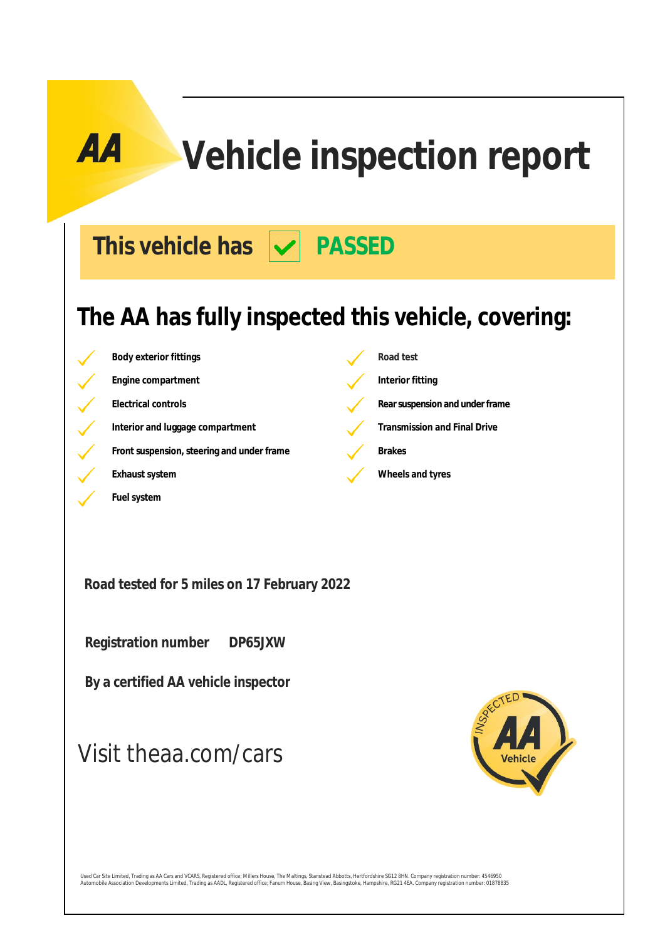# **Vehicle inspection report**

This vehicle has  $|\mathbf{v}|$  PASSED

### **The AA has fully inspected this vehicle, covering:**

**Body exterior fittings Road test Engine compartment Interior fitting Electrical controls Rearsuspension** and under frame Interior and luggage compartment **Transmission and Final Drive Front suspension, steering and under frame Brakes Exhaust system Exhaust system Wheels and tyres** 

**Road tested for 5 miles on 17 February 2022**

 **Registration number DP65JXW**

**Fuel system**

 **By a certified AA vehicle inspector**

### Visit theaa.com/cars



Used Car Site Limited, Trading as AA Cars and VCARS, Registered office; Millers House, The Maltings, Stanstead Abbotts, Hertfordshire SG12 8HN. Company registration number: 4546950<br>Automobile Association Developments Limit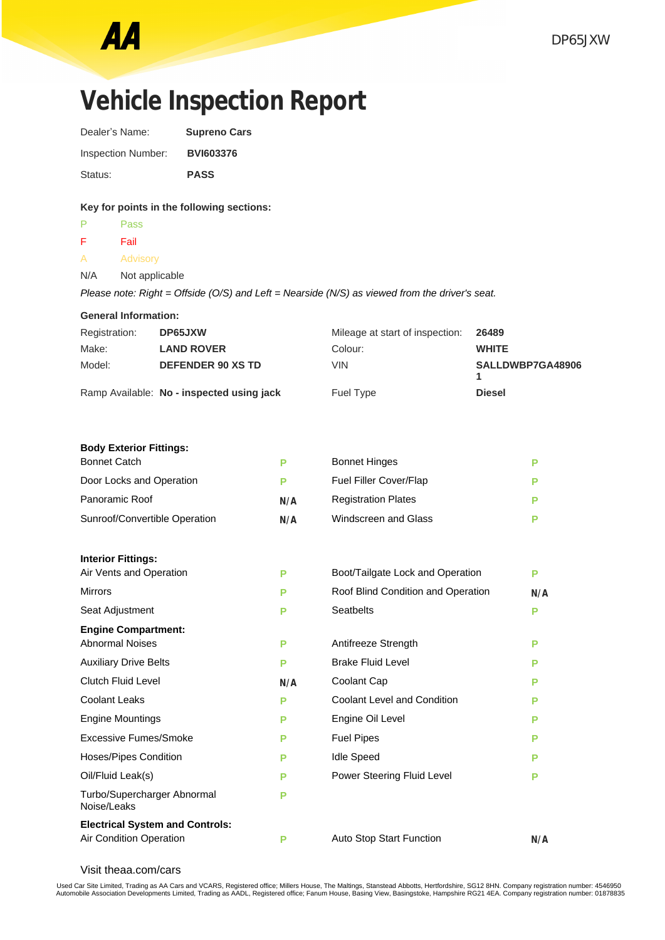$\overline{F}$ 

### **Vehicle Inspection Report** Dealer's Name: **Supreno Cars**

| <b>Inspection Number:</b> | <b>BVI603376</b> |
|---------------------------|------------------|
| Status:                   | <b>PASS</b>      |

#### **Key for points in the following sections:**

| P             | <b>Pass</b>                                                                                    |                                 |       |
|---------------|------------------------------------------------------------------------------------------------|---------------------------------|-------|
| F.            | Fail                                                                                           |                                 |       |
| A             | Advisory                                                                                       |                                 |       |
| N/A           | Not applicable                                                                                 |                                 |       |
|               | Please note: Right = Offside (O/S) and Left = Nearside (N/S) as viewed from the driver's seat. |                                 |       |
|               | <b>General Information:</b>                                                                    |                                 |       |
| Registration: | DP65JXW                                                                                        | Mileage at start of inspection: | 26489 |

| Make:  | <b>LAND ROVER</b>                         | Colour:   | <b>WHITE</b>     |
|--------|-------------------------------------------|-----------|------------------|
| Model: | <b>DEFENDER 90 XS TD</b>                  | VIN.      | SALLDWBP7GA48906 |
|        | Ramp Available: No - inspected using jack | Fuel Type | <b>Diesel</b>    |

### **Body Exterior Fittings:**

| <b>Bonnet Catch</b>                        | P   | <b>Bonnet Hinges</b>               | P   |
|--------------------------------------------|-----|------------------------------------|-----|
| Door Locks and Operation                   | P   | Fuel Filler Cover/Flap             | Р   |
| Panoramic Roof                             | N/A | <b>Registration Plates</b>         | P   |
| Sunroof/Convertible Operation              | N/A | Windscreen and Glass               | Р   |
|                                            |     |                                    |     |
| <b>Interior Fittings:</b>                  |     |                                    |     |
| Air Vents and Operation                    | P   | Boot/Tailgate Lock and Operation   | P   |
| <b>Mirrors</b>                             | P   | Roof Blind Condition and Operation | N/A |
| Seat Adjustment                            | P   | <b>Seatbelts</b>                   | P   |
| <b>Engine Compartment:</b>                 |     |                                    |     |
| <b>Abnormal Noises</b>                     | P   | Antifreeze Strength                | P   |
| <b>Auxiliary Drive Belts</b>               | P   | <b>Brake Fluid Level</b>           | P   |
| <b>Clutch Fluid Level</b>                  | N/A | Coolant Cap                        | P   |
| <b>Coolant Leaks</b>                       | P   | <b>Coolant Level and Condition</b> | P   |
| <b>Engine Mountings</b>                    | P   | Engine Oil Level                   | P   |
| Excessive Fumes/Smoke                      | P   | <b>Fuel Pipes</b>                  | P   |
| <b>Hoses/Pipes Condition</b>               | P   | <b>Idle Speed</b>                  | Р   |
| Oil/Fluid Leak(s)                          | P   | Power Steering Fluid Level         | P   |
| Turbo/Supercharger Abnormal<br>Noise/Leaks | P   |                                    |     |
| <b>Electrical System and Controls:</b>     |     |                                    |     |
| Air Condition Operation                    | P   | Auto Stop Start Function           | N/A |

Visit theaa.com/cars

Used Car Site Limited, Trading as AA Cars and VCARS, Registered office; Millers House, The Maltings, Stanstead Abbotts, Hertfordshire, SG12 8HN. Company registration number: 4546950<br>Automobile Association Developments Limi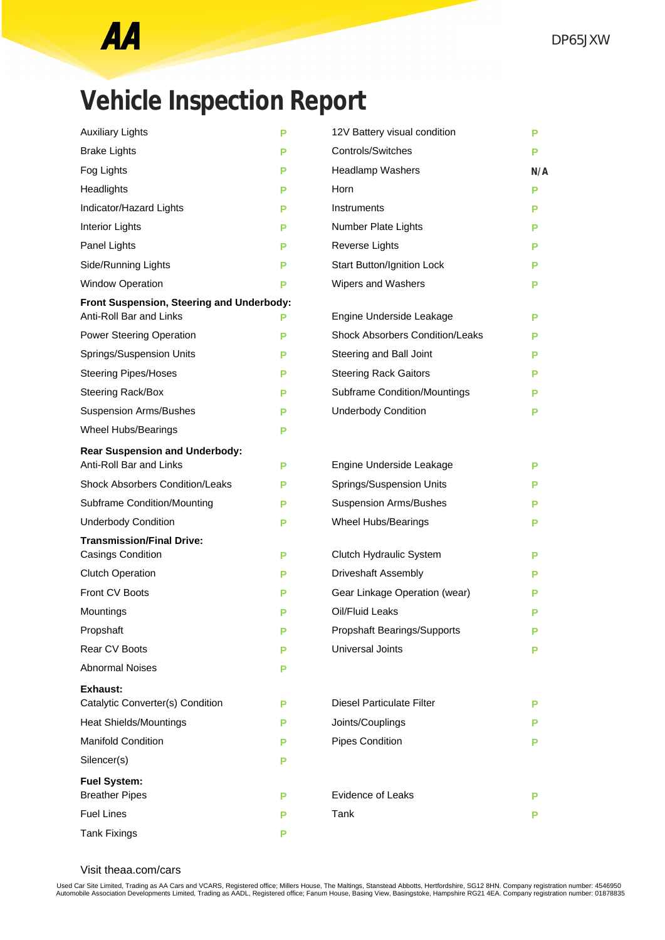## **Vehicle Inspection Report**

| <b>Auxiliary Lights</b>                   | P | 12V Battery visual condition           | P   |
|-------------------------------------------|---|----------------------------------------|-----|
| <b>Brake Lights</b>                       | Р | <b>Controls/Switches</b>               | P   |
| Fog Lights                                | Р | <b>Headlamp Washers</b>                | N/A |
| Headlights                                | Р | Horn                                   | Р   |
| Indicator/Hazard Lights                   | P | Instruments                            | P   |
| <b>Interior Lights</b>                    | P | Number Plate Lights                    | P   |
| Panel Lights                              | P | Reverse Lights                         | Р   |
| Side/Running Lights                       | P | Start Button/Ignition Lock             | P   |
| <b>Window Operation</b>                   | P | Wipers and Washers                     | P   |
| Front Suspension, Steering and Underbody: |   |                                        |     |
| Anti-Roll Bar and Links                   | Р | Engine Underside Leakage               | P   |
| Power Steering Operation                  | P | <b>Shock Absorbers Condition/Leaks</b> | P   |
| Springs/Suspension Units                  | P | Steering and Ball Joint                | P   |
| <b>Steering Pipes/Hoses</b>               | P | <b>Steering Rack Gaitors</b>           | P   |
| Steering Rack/Box                         | Р | <b>Subframe Condition/Mountings</b>    | P   |
| <b>Suspension Arms/Bushes</b>             | Р | <b>Underbody Condition</b>             | P   |
| Wheel Hubs/Bearings                       | Р |                                        |     |
| <b>Rear Suspension and Underbody:</b>     |   |                                        |     |
| Anti-Roll Bar and Links                   | Р | Engine Underside Leakage               | Р   |
| <b>Shock Absorbers Condition/Leaks</b>    | Р | Springs/Suspension Units               | P   |
| Subframe Condition/Mounting               | Р | <b>Suspension Arms/Bushes</b>          | P   |
| <b>Underbody Condition</b>                | P | Wheel Hubs/Bearings                    | Р   |
| <b>Transmission/Final Drive:</b>          |   |                                        |     |
| <b>Casings Condition</b>                  | P | Clutch Hydraulic System                | P   |
| <b>Clutch Operation</b>                   | Р | <b>Driveshaft Assembly</b>             | Р   |
| Front CV Boots                            | Р | Gear Linkage Operation (wear)          | Р   |
| Mountings                                 | Р | Oil/Fluid Leaks                        | P   |
| Propshaft                                 | P | Propshaft Bearings/Supports            | Р   |
| Rear CV Boots                             | P | Universal Joints                       | Р   |
| <b>Abnormal Noises</b>                    | P |                                        |     |
| <b>Exhaust:</b>                           |   |                                        |     |
| Catalytic Converter(s) Condition          | Р | <b>Diesel Particulate Filter</b>       | Р   |
| <b>Heat Shields/Mountings</b>             | P | Joints/Couplings                       | Р   |
| <b>Manifold Condition</b>                 | Р | Pipes Condition                        | Р   |
| Silencer(s)                               | Р |                                        |     |
| <b>Fuel System:</b>                       |   |                                        |     |
| <b>Breather Pipes</b>                     | Р | <b>Evidence of Leaks</b>               | P   |
| <b>Fuel Lines</b>                         | Р | Tank                                   | Р   |
| <b>Tank Fixings</b>                       | Р |                                        |     |

Visit theaa.com/cars

Used Car Site Limited, Trading as AA Cars and VCARS, Registered office; Millers House, The Maltings, Stanstead Abbotts, Hertfordshire, SG12 8HN. Company registration number: 4546950<br>Automobile Association Developments Limi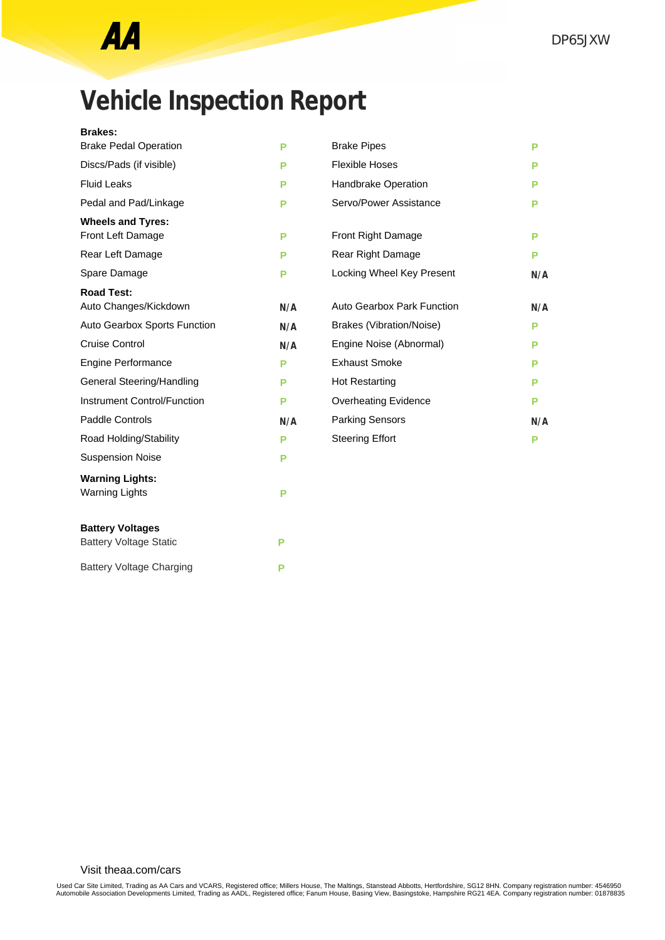## **Vehicle Inspection Report**

#### **Brakes:**

| <b>Brake Pedal Operation</b>       | P   | <b>Brake Pipes</b>                | P   |
|------------------------------------|-----|-----------------------------------|-----|
| Discs/Pads (if visible)            | P   | <b>Flexible Hoses</b>             | Р   |
| <b>Fluid Leaks</b>                 | P   | Handbrake Operation               | Р   |
| Pedal and Pad/Linkage              | Р   | Servo/Power Assistance            | Р   |
| <b>Wheels and Tyres:</b>           |     |                                   |     |
| Front Left Damage                  | P   | Front Right Damage                | P   |
| Rear Left Damage                   | P   | Rear Right Damage                 | Р   |
| Spare Damage                       | P   | Locking Wheel Key Present         | N/A |
| <b>Road Test:</b>                  |     |                                   |     |
| Auto Changes/Kickdown              | N/A | <b>Auto Gearbox Park Function</b> | N/A |
| Auto Gearbox Sports Function       | N/A | <b>Brakes (Vibration/Noise)</b>   | Р   |
| Cruise Control                     | N/A | Engine Noise (Abnormal)           | Р   |
| Engine Performance                 | P   | <b>Exhaust Smoke</b>              | Р   |
| General Steering/Handling          | P   | <b>Hot Restarting</b>             | Р   |
| <b>Instrument Control/Function</b> | P   | <b>Overheating Evidence</b>       | P   |
| Paddle Controls                    | N/A | <b>Parking Sensors</b>            | N/A |
| Road Holding/Stability             | P   | <b>Steering Effort</b>            | P   |
| <b>Suspension Noise</b>            | P   |                                   |     |
| <b>Warning Lights:</b>             |     |                                   |     |
| <b>Warning Lights</b>              | P   |                                   |     |
| <b>Battery Voltages</b>            |     |                                   |     |
| <b>Battery Voltage Static</b>      | P   |                                   |     |
| <b>Battery Voltage Charging</b>    | P   |                                   |     |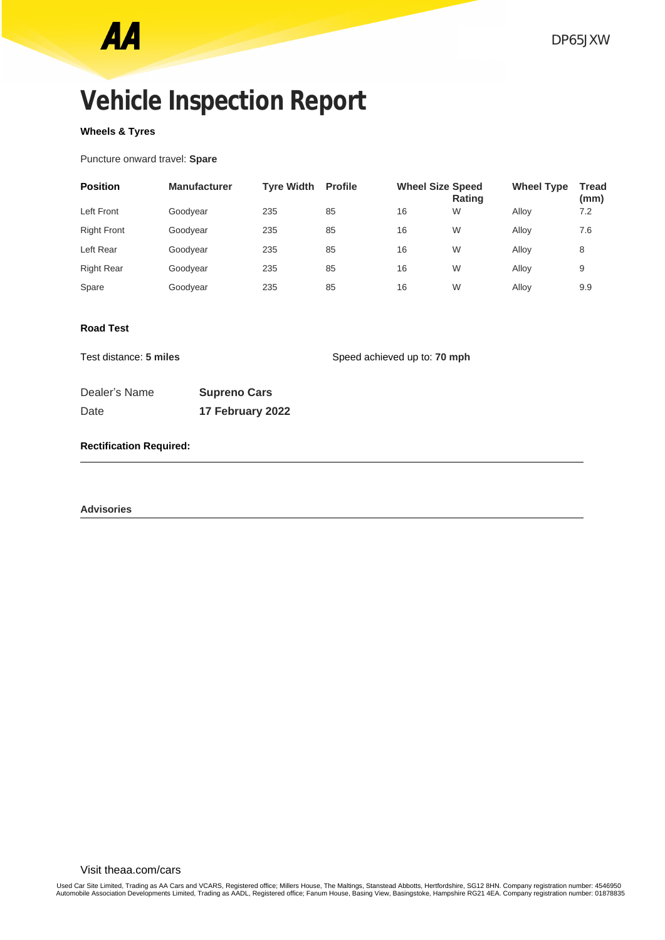## **Vehicle Inspection Report**

### **Wheels & Tyres**

Puncture onward travel: **Spare**

| <b>Position</b>    | <b>Manufacturer</b> | <b>Tyre Width</b> | <b>Profile</b> | <b>Wheel Size Speed</b> | <b>Rating</b> | <b>Wheel Type</b> | <b>Tread</b><br>(mm) |
|--------------------|---------------------|-------------------|----------------|-------------------------|---------------|-------------------|----------------------|
| Left Front         | Goodyear            | 235               | 85             | 16                      | W             | Allov             | 7.2                  |
| <b>Right Front</b> | Goodyear            | 235               | 85             | 16                      | W             | Alloy             | 7.6                  |
| Left Rear          | Goodyear            | 235               | 85             | 16                      | W             | Allov             | 8                    |
| <b>Right Rear</b>  | Goodyear            | 235               | 85             | 16                      | W             | Allov             | 9                    |
| Spare              | Goodyear            | 235               | 85             | 16                      | W             | Alloy             | 9.9                  |

#### **Road Test**

Test distance: **5 miles** Speed achieved up to: **70 mph** 

| Dealer's Name | <b>Supreno Cars</b> |
|---------------|---------------------|
| Date          | 17 February 2022    |

#### **Rectification Required:**

**Advisories**